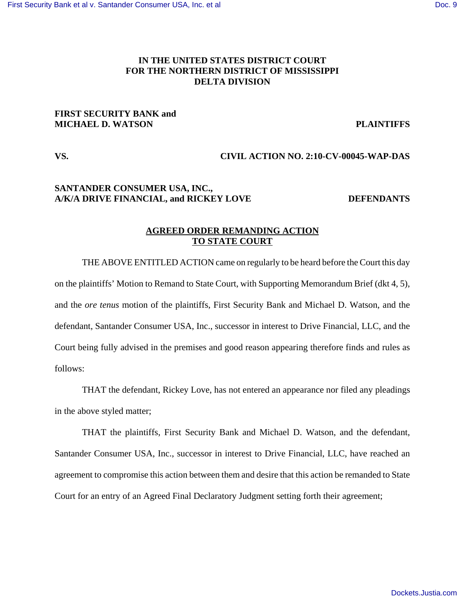# **IN THE UNITED STATES DISTRICT COURT FOR THE NORTHERN DISTRICT OF MISSISSIPPI DELTA DIVISION**

# **FIRST SECURITY BANK and MICHAEL D. WATSON PLAINTIFFS**

## **VS. CIVIL ACTION NO. 2:10-CV-00045-WAP-DAS**

## **SANTANDER CONSUMER USA, INC.,**  A/K/A DRIVE FINANCIAL, and RICKEY LOVE DEFENDANTS

## **AGREED ORDER REMANDING ACTION TO STATE COURT**

THE ABOVE ENTITLED ACTION came on regularly to be heard before the Court this day on the plaintiffs' Motion to Remand to State Court, with Supporting Memorandum Brief (dkt 4, 5), and the *ore tenus* motion of the plaintiffs, First Security Bank and Michael D. Watson, and the defendant, Santander Consumer USA, Inc., successor in interest to Drive Financial, LLC, and the Court being fully advised in the premises and good reason appearing therefore finds and rules as follows:

THAT the defendant, Rickey Love, has not entered an appearance nor filed any pleadings in the above styled matter;

THAT the plaintiffs, First Security Bank and Michael D. Watson, and the defendant, Santander Consumer USA, Inc., successor in interest to Drive Financial, LLC, have reached an agreement to compromise this action between them and desire that this action be remanded to State Court for an entry of an Agreed Final Declaratory Judgment setting forth their agreement;